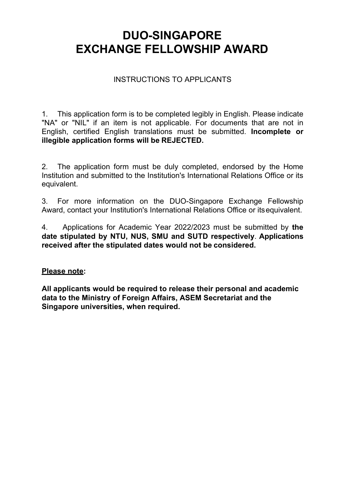# **DUO-SINGAPORE EXCHANGE FELLOWSHIP AWARD**

### INSTRUCTIONS TO APPLICANTS

1. This application form is to be completed legibly in English. Please indicate "NA" or "NIL" if an item is not applicable. For documents that are not in English, certified English translations must be submitted. **Incomplete or illegible application forms will be REJECTED.** 

2. The application form must be duly completed, endorsed by the Home Institution and submitted to the Institution's International Relations Office or its equivalent.

3. For more information on the DUO-Singapore Exchange Fellowship Award, contact your Institution's International Relations Office or its equivalent.

4. Applications for Academic Year 2022/2023 must be submitted by **the date stipulated by NTU, NUS, SMU and SUTD respectively**. **Applications received after the stipulated dates would not be considered.** 

#### **Please note:**

**All applicants would be required to release their personal and academic data to the Ministry of Foreign Affairs, ASEM Secretariat and the Singapore universities, when required.**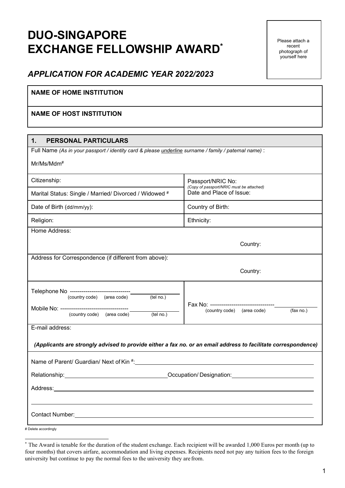# **DUO-SINGAPORE EXCHANGE FELLOWSHIP AWARD\***

Please attach a recent photograph of yourself here

### *APPLICATION FOR ACADEMIC YEAR 2022/2023*

#### **NAME OF HOME INSTITUTION**

#### **NAME OF HOST INSTITUTION**

| $\mathbf 1$ .<br><b>PERSONAL PARTICULARS</b>                                                                                                                                                                                   |                                                               |  |  |
|--------------------------------------------------------------------------------------------------------------------------------------------------------------------------------------------------------------------------------|---------------------------------------------------------------|--|--|
| Full Name (As in your passport / identity card & please <i>underline</i> surname / family / paternal name) :                                                                                                                   |                                                               |  |  |
| $Mr/Ms/Mdm^{\#}$                                                                                                                                                                                                               |                                                               |  |  |
| Citizenship:                                                                                                                                                                                                                   | Passport/NRIC No:<br>(Copy of passport/NRIC must be attached) |  |  |
| Marital Status: Single / Married/ Divorced / Widowed #                                                                                                                                                                         | Date and Place of Issue:                                      |  |  |
| Date of Birth (dd/mm/yy):                                                                                                                                                                                                      | Country of Birth:                                             |  |  |
| Religion:                                                                                                                                                                                                                      | Ethnicity:                                                    |  |  |
| Home Address:                                                                                                                                                                                                                  |                                                               |  |  |
| Country:                                                                                                                                                                                                                       |                                                               |  |  |
| Address for Correspondence (if different from above):                                                                                                                                                                          |                                                               |  |  |
|                                                                                                                                                                                                                                | Country:                                                      |  |  |
| Telephone No ---------------------------------                                                                                                                                                                                 |                                                               |  |  |
| (country code) (area code) (tel no.)                                                                                                                                                                                           |                                                               |  |  |
|                                                                                                                                                                                                                                | (fax no.)<br>(country code) (area code)                       |  |  |
|                                                                                                                                                                                                                                |                                                               |  |  |
| E-mail address:                                                                                                                                                                                                                |                                                               |  |  |
| (Applicants are strongly advised to provide either a fax no. or an email address to facilitate correspondence)                                                                                                                 |                                                               |  |  |
|                                                                                                                                                                                                                                |                                                               |  |  |
| Relationship: Notified the Contract of Contract Contract of Contract Contract Contract Contract Contract Contract Contract Contract Contract Contract Contract Contract Contract Contract Contract Contract Contract Contract  |                                                               |  |  |
|                                                                                                                                                                                                                                |                                                               |  |  |
|                                                                                                                                                                                                                                |                                                               |  |  |
| Contact Number: North Contact Number and Contact Number and Contact Number and Contact Number and Contact Number and Contact Number and Contact Number and Contact Number and Contact Number and Contact Number and Contact Nu |                                                               |  |  |
|                                                                                                                                                                                                                                |                                                               |  |  |

<sup>#</sup> Delete accordingly

<sup>\*</sup> The Award is tenable for the duration of the student exchange. Each recipient will be awarded 1,000 Euros per month (up to four months) that covers airfare, accommodation and living expenses. Recipients need not pay any tuition fees to the foreign university but continue to pay the normal fees to the university they are from.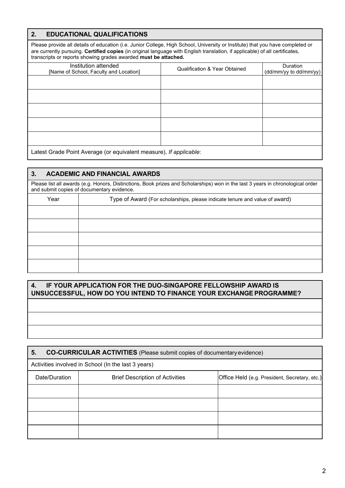#### **2. EDUCATIONAL QUALIFICATIONS**

Please provide all details of education (i.e. Junior College, High School, University or Institute) that you have completed or are currently pursuing. **Certified copies** (in original language with English translation, if applicable) of all certificates, transcripts or reports showing grades awarded **must be attached.**

| Institution attended<br>[Name of School, Faculty and Location] | <b>Qualification &amp; Year Obtained</b> | Duration<br>(dd/mm/yy to dd/mm/yy) |
|----------------------------------------------------------------|------------------------------------------|------------------------------------|
|                                                                |                                          |                                    |
|                                                                |                                          |                                    |
|                                                                |                                          |                                    |
|                                                                |                                          |                                    |
|                                                                |                                          |                                    |
|                                                                |                                          |                                    |

Latest Grade Point Average (or equivalent measure), *If applicable*:

#### **3. ACADEMIC AND FINANCIAL AWARDS**

Please list all awards (e.g. Honors, Distinctions, Book prizes and Scholarships) won in the last 3 years in chronological order and submit copies of documentary evidence.

| Year | Type of Award (For scholarships, please indicate tenure and value of award) |  |
|------|-----------------------------------------------------------------------------|--|
|      |                                                                             |  |
|      |                                                                             |  |
|      |                                                                             |  |
|      |                                                                             |  |
|      |                                                                             |  |

#### **4. IF YOUR APPLICATION FOR THE DUO-SINGAPORE FELLOWSHIP AWARD IS UNSUCCESSFUL, HOW DO YOU INTEND TO FINANCE YOUR EXCHANGE PROGRAMME?**

| <b>CO-CURRICULAR ACTIVITIES</b> (Please submit copies of documentary evidence)<br>5. |                                        |                                               |  |
|--------------------------------------------------------------------------------------|----------------------------------------|-----------------------------------------------|--|
| Activities involved in School (In the last 3 years)                                  |                                        |                                               |  |
| Date/Duration                                                                        | <b>Brief Description of Activities</b> | Office Held (e.g. President, Secretary, etc.) |  |
|                                                                                      |                                        |                                               |  |
|                                                                                      |                                        |                                               |  |
|                                                                                      |                                        |                                               |  |
|                                                                                      |                                        |                                               |  |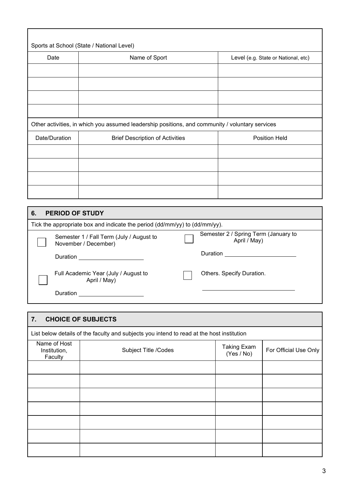| Sports at School (State / National Level)                                                       |                                        |                                     |  |
|-------------------------------------------------------------------------------------------------|----------------------------------------|-------------------------------------|--|
| Date                                                                                            | Name of Sport                          | Level (e.g. State or National, etc) |  |
|                                                                                                 |                                        |                                     |  |
|                                                                                                 |                                        |                                     |  |
|                                                                                                 |                                        |                                     |  |
|                                                                                                 |                                        |                                     |  |
| Other activities, in which you assumed leadership positions, and community / voluntary services |                                        |                                     |  |
| Date/Duration                                                                                   | <b>Brief Description of Activities</b> | <b>Position Held</b>                |  |
|                                                                                                 |                                        |                                     |  |
|                                                                                                 |                                        |                                     |  |
|                                                                                                 |                                        |                                     |  |
|                                                                                                 |                                        |                                     |  |

| 6.                                                                         |  | <b>PERIOD OF STUDY</b>                                           |  |                                                      |
|----------------------------------------------------------------------------|--|------------------------------------------------------------------|--|------------------------------------------------------|
| Tick the appropriate box and indicate the period (dd/mm/yy) to (dd/mm/yy). |  |                                                                  |  |                                                      |
|                                                                            |  | Semester 1 / Fall Term (July / August to<br>November / December) |  | Semester 2 / Spring Term (January to<br>April / May) |
|                                                                            |  | Duration                                                         |  | Duration                                             |
|                                                                            |  | Full Academic Year (July / August to<br>April / May)             |  | Others. Specify Duration.                            |
|                                                                            |  | Duration                                                         |  |                                                      |

| 7.                                      | <b>CHOICE OF SUBJECTS</b>                                                                 |                                  |                       |  |
|-----------------------------------------|-------------------------------------------------------------------------------------------|----------------------------------|-----------------------|--|
|                                         | List below details of the faculty and subjects you intend to read at the host institution |                                  |                       |  |
| Name of Host<br>Institution,<br>Faculty | Subject Title /Codes                                                                      | <b>Taking Exam</b><br>(Yes / No) | For Official Use Only |  |
|                                         |                                                                                           |                                  |                       |  |
|                                         |                                                                                           |                                  |                       |  |
|                                         |                                                                                           |                                  |                       |  |
|                                         |                                                                                           |                                  |                       |  |
|                                         |                                                                                           |                                  |                       |  |
|                                         |                                                                                           |                                  |                       |  |
|                                         |                                                                                           |                                  |                       |  |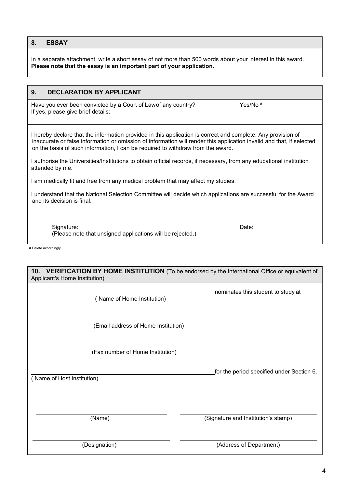#### **8. ESSAY**

In a separate attachment, write a short essay of not more than 500 words about your interest in this award. **Please note that the essay is an important part of your application.**

#### **9. DECLARATION BY APPLICANT**

Have you ever been convicted by a Court of Lawof any country? Yes/No # If yes, please give brief details:

I hereby declare that the information provided in this application is correct and complete. Any provision of inaccurate or false information or omission of information will render this application invalid and that, if selected on the basis of such information, I can be required to withdraw from the award.

I authorise the Universities/Institutions to obtain official records, if necessary, from any educational institution attended by me.

I am medically fit and free from any medical problem that may affect my studies.

I understand that the National Selection Committee will decide which applications are successful for the Award and its decision is final.

Signature: Date: (Please note that unsigned applications will be rejected.)

# Delete accordingly

| <b>VERIFICATION BY HOME INSTITUTION</b> (To be endorsed by the International Office or equivalent of<br>10.<br>Applicant's Home Institution) |                                           |  |
|----------------------------------------------------------------------------------------------------------------------------------------------|-------------------------------------------|--|
| (Name of Home Institution)                                                                                                                   | nominates this student to study at        |  |
| (Email address of Home Institution)                                                                                                          |                                           |  |
| (Fax number of Home Institution)                                                                                                             |                                           |  |
| (Name of Host Institution)                                                                                                                   | for the period specified under Section 6. |  |
| (Name)                                                                                                                                       | (Signature and Institution's stamp)       |  |
| (Designation)                                                                                                                                | (Address of Department)                   |  |